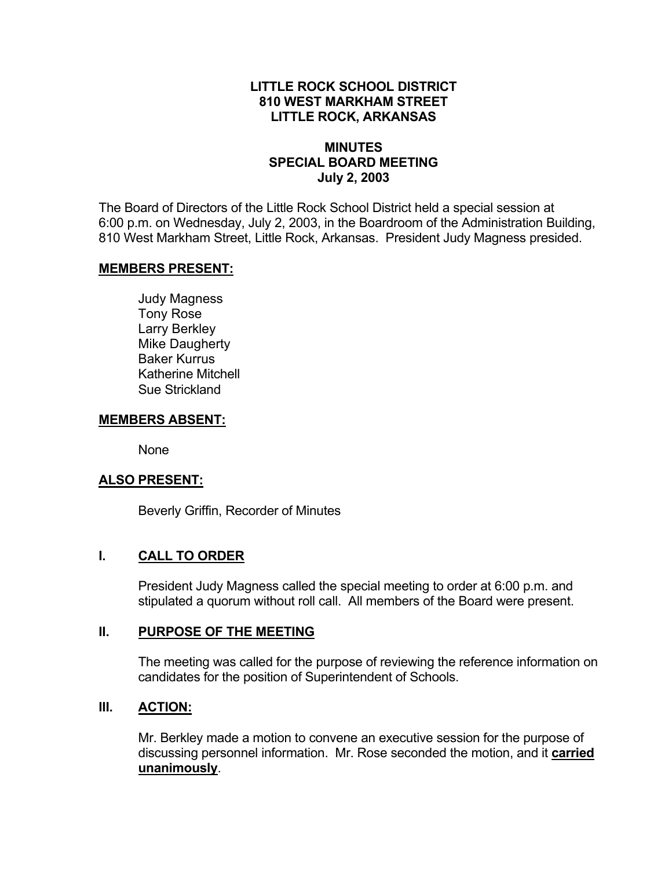# **LITTLE ROCK SCHOOL DISTRICT 810 WEST MARKHAM STREET LITTLE ROCK, ARKANSAS**

# **MINUTES SPECIAL BOARD MEETING July 2, 2003**

The Board of Directors of the Little Rock School District held a special session at 6:00 p.m. on Wednesday, July 2, 2003, in the Boardroom of the Administration Building, 810 West Markham Street, Little Rock, Arkansas. President Judy Magness presided.

## **MEMBERS PRESENT:**

Judy Magness Tony Rose Larry Berkley Mike Daugherty Baker Kurrus Katherine Mitchell Sue Strickland

## **MEMBERS ABSENT:**

None

# **ALSO PRESENT:**

Beverly Griffin, Recorder of Minutes

## **I. CALL TO ORDER**

President Judy Magness called the special meeting to order at 6:00 p.m. and stipulated a quorum without roll call. All members of the Board were present.

#### **II. PURPOSE OF THE MEETING**

The meeting was called for the purpose of reviewing the reference information on candidates for the position of Superintendent of Schools.

## **III. ACTION:**

Mr. Berkley made a motion to convene an executive session for the purpose of discussing personnel information. Mr. Rose seconded the motion, and it **carried unanimously**.